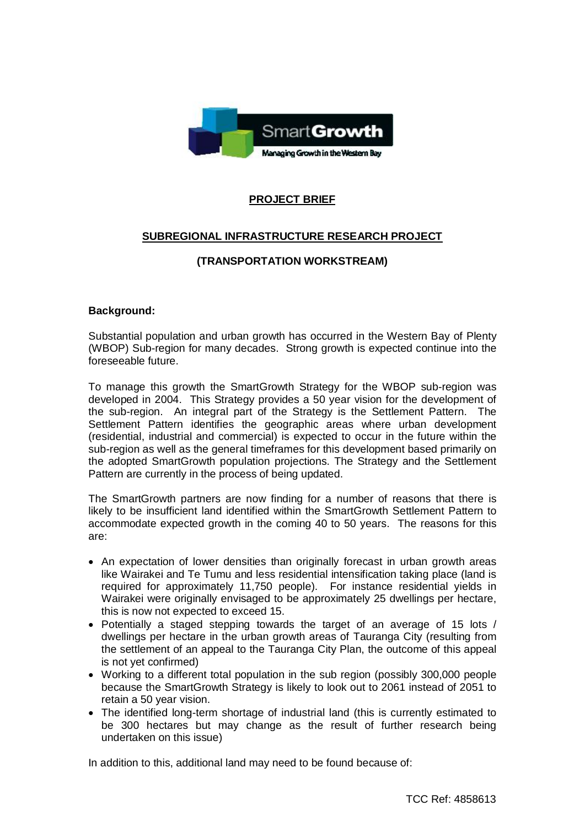

# **PROJECT BRIEF**

# **SUBREGIONAL INFRASTRUCTURE RESEARCH PROJECT**

## **(TRANSPORTATION WORKSTREAM)**

## **Background:**

Substantial population and urban growth has occurred in the Western Bay of Plenty (WBOP) Sub-region for many decades. Strong growth is expected continue into the foreseeable future.

To manage this growth the SmartGrowth Strategy for the WBOP sub-region was developed in 2004. This Strategy provides a 50 year vision for the development of the sub-region. An integral part of the Strategy is the Settlement Pattern. The Settlement Pattern identifies the geographic areas where urban development (residential, industrial and commercial) is expected to occur in the future within the sub-region as well as the general timeframes for this development based primarily on the adopted SmartGrowth population projections. The Strategy and the Settlement Pattern are currently in the process of being updated.

The SmartGrowth partners are now finding for a number of reasons that there is likely to be insufficient land identified within the SmartGrowth Settlement Pattern to accommodate expected growth in the coming 40 to 50 years. The reasons for this are:

- An expectation of lower densities than originally forecast in urban growth areas like Wairakei and Te Tumu and less residential intensification taking place (land is required for approximately 11,750 people). For instance residential yields in Wairakei were originally envisaged to be approximately 25 dwellings per hectare, this is now not expected to exceed 15.
- Potentially a staged stepping towards the target of an average of 15 lots / dwellings per hectare in the urban growth areas of Tauranga City (resulting from the settlement of an appeal to the Tauranga City Plan, the outcome of this appeal is not yet confirmed)
- Working to a different total population in the sub region (possibly 300,000 people because the SmartGrowth Strategy is likely to look out to 2061 instead of 2051 to retain a 50 year vision.
- The identified long-term shortage of industrial land (this is currently estimated to be 300 hectares but may change as the result of further research being undertaken on this issue)

In addition to this, additional land may need to be found because of: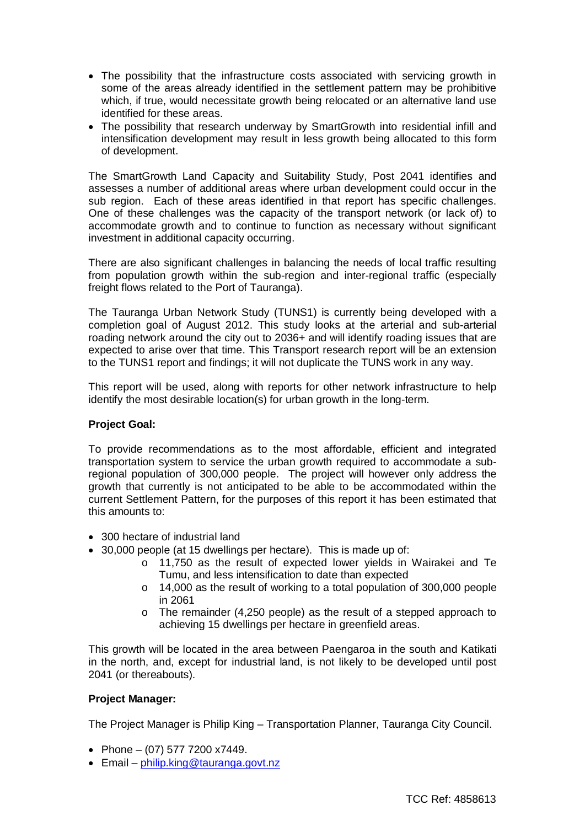- The possibility that the infrastructure costs associated with servicing growth in some of the areas already identified in the settlement pattern may be prohibitive which, if true, would necessitate growth being relocated or an alternative land use identified for these areas.
- The possibility that research underway by SmartGrowth into residential infill and intensification development may result in less growth being allocated to this form of development.

The SmartGrowth Land Capacity and Suitability Study, Post 2041 identifies and assesses a number of additional areas where urban development could occur in the sub region. Each of these areas identified in that report has specific challenges. One of these challenges was the capacity of the transport network (or lack of) to accommodate growth and to continue to function as necessary without significant investment in additional capacity occurring.

There are also significant challenges in balancing the needs of local traffic resulting from population growth within the sub-region and inter-regional traffic (especially freight flows related to the Port of Tauranga).

The Tauranga Urban Network Study (TUNS1) is currently being developed with a completion goal of August 2012. This study looks at the arterial and sub-arterial roading network around the city out to 2036+ and will identify roading issues that are expected to arise over that time. This Transport research report will be an extension to the TUNS1 report and findings; it will not duplicate the TUNS work in any way.

This report will be used, along with reports for other network infrastructure to help identify the most desirable location(s) for urban growth in the long-term.

#### **Project Goal:**

To provide recommendations as to the most affordable, efficient and integrated transportation system to service the urban growth required to accommodate a subregional population of 300,000 people. The project will however only address the growth that currently is not anticipated to be able to be accommodated within the current Settlement Pattern, for the purposes of this report it has been estimated that this amounts to:

- 300 hectare of industrial land
- $\bullet$  30,000 people (at 15 dwellings per hectare). This is made up of:
	- o 11,750 as the result of expected lower yields in Wairakei and Te Tumu, and less intensification to date than expected
	- o 14,000 as the result of working to a total population of 300,000 people in 2061
	- o The remainder (4,250 people) as the result of a stepped approach to achieving 15 dwellings per hectare in greenfield areas.

This growth will be located in the area between Paengaroa in the south and Katikati in the north, and, except for industrial land, is not likely to be developed until post 2041 (or thereabouts).

#### **Project Manager:**

The Project Manager is Philip King – Transportation Planner, Tauranga City Council.

- Phone (07) 577 7200 x7449.
- $\bullet$  Email philip.king@tauranga.govt.nz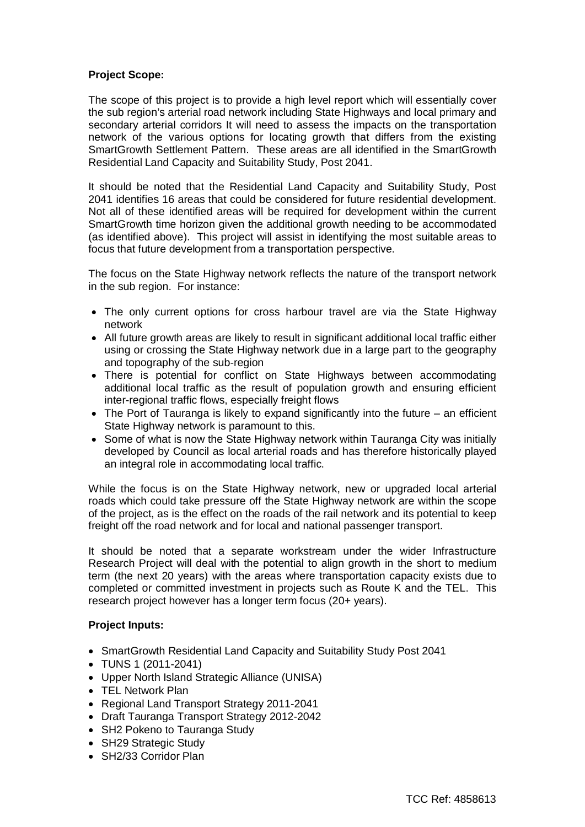## **Project Scope:**

The scope of this project is to provide a high level report which will essentially cover the sub region's arterial road network including State Highways and local primary and secondary arterial corridors It will need to assess the impacts on the transportation network of the various options for locating growth that differs from the existing SmartGrowth Settlement Pattern. These areas are all identified in the SmartGrowth Residential Land Capacity and Suitability Study, Post 2041.

It should be noted that the Residential Land Capacity and Suitability Study, Post 2041 identifies 16 areas that could be considered for future residential development. Not all of these identified areas will be required for development within the current SmartGrowth time horizon given the additional growth needing to be accommodated (as identified above). This project will assist in identifying the most suitable areas to focus that future development from a transportation perspective.

The focus on the State Highway network reflects the nature of the transport network in the sub region. For instance:

- The only current options for cross harbour travel are via the State Highway network
- All future growth areas are likely to result in significant additional local traffic either using or crossing the State Highway network due in a large part to the geography and topography of the sub-region
- There is potential for conflict on State Highways between accommodating additional local traffic as the result of population growth and ensuring efficient inter-regional traffic flows, especially freight flows
- $\bullet$  The Port of Tauranga is likely to expand significantly into the future an efficient State Highway network is paramount to this.
- Some of what is now the State Highway network within Tauranga City was initially developed by Council as local arterial roads and has therefore historically played an integral role in accommodating local traffic.

While the focus is on the State Highway network, new or upgraded local arterial roads which could take pressure off the State Highway network are within the scope of the project, as is the effect on the roads of the rail network and its potential to keep freight off the road network and for local and national passenger transport.

It should be noted that a separate workstream under the wider Infrastructure Research Project will deal with the potential to align growth in the short to medium term (the next 20 years) with the areas where transportation capacity exists due to completed or committed investment in projects such as Route K and the TEL. This research project however has a longer term focus (20+ years).

## **Project Inputs:**

- SmartGrowth Residential Land Capacity and Suitability Study Post 2041
- $\bullet$  TUNS 1 (2011-2041)
- Upper North Island Strategic Alliance (UNISA)
- TEL Network Plan
- Regional Land Transport Strategy 2011-2041
- Draft Tauranga Transport Strategy 2012-2042
- SH2 Pokeno to Tauranga Study
- SH29 Strategic Study
- SH2/33 Corridor Plan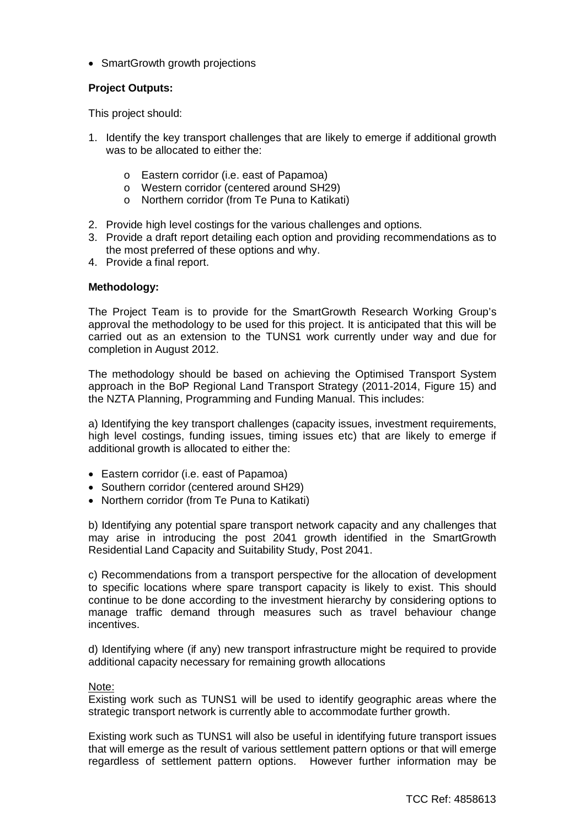• SmartGrowth growth projections

## **Project Outputs:**

This project should:

- 1. Identify the key transport challenges that are likely to emerge if additional growth was to be allocated to either the:
	- o Eastern corridor (i.e. east of Papamoa)
	- o Western corridor (centered around SH29)
	- o Northern corridor (from Te Puna to Katikati)
- 2. Provide high level costings for the various challenges and options.
- 3. Provide a draft report detailing each option and providing recommendations as to the most preferred of these options and why.
- 4. Provide a final report.

## **Methodology:**

The Project Team is to provide for the SmartGrowth Research Working Group's approval the methodology to be used for this project. It is anticipated that this will be carried out as an extension to the TUNS1 work currently under way and due for completion in August 2012.

The methodology should be based on achieving the Optimised Transport System approach in the BoP Regional Land Transport Strategy (2011-2014, Figure 15) and the NZTA Planning, Programming and Funding Manual. This includes:

a) Identifying the key transport challenges (capacity issues, investment requirements, high level costings, funding issues, timing issues etc) that are likely to emerge if additional growth is allocated to either the:

- Eastern corridor (i.e. east of Papamoa)
- Southern corridor (centered around SH29)
- Northern corridor (from Te Puna to Katikati)

b) Identifying any potential spare transport network capacity and any challenges that may arise in introducing the post 2041 growth identified in the SmartGrowth Residential Land Capacity and Suitability Study, Post 2041.

c) Recommendations from a transport perspective for the allocation of development to specific locations where spare transport capacity is likely to exist. This should continue to be done according to the investment hierarchy by considering options to manage traffic demand through measures such as travel behaviour change incentives.

d) Identifying where (if any) new transport infrastructure might be required to provide additional capacity necessary for remaining growth allocations

#### Note:

Existing work such as TUNS1 will be used to identify geographic areas where the strategic transport network is currently able to accommodate further growth.

Existing work such as TUNS1 will also be useful in identifying future transport issues that will emerge as the result of various settlement pattern options or that will emerge regardless of settlement pattern options. However further information may be